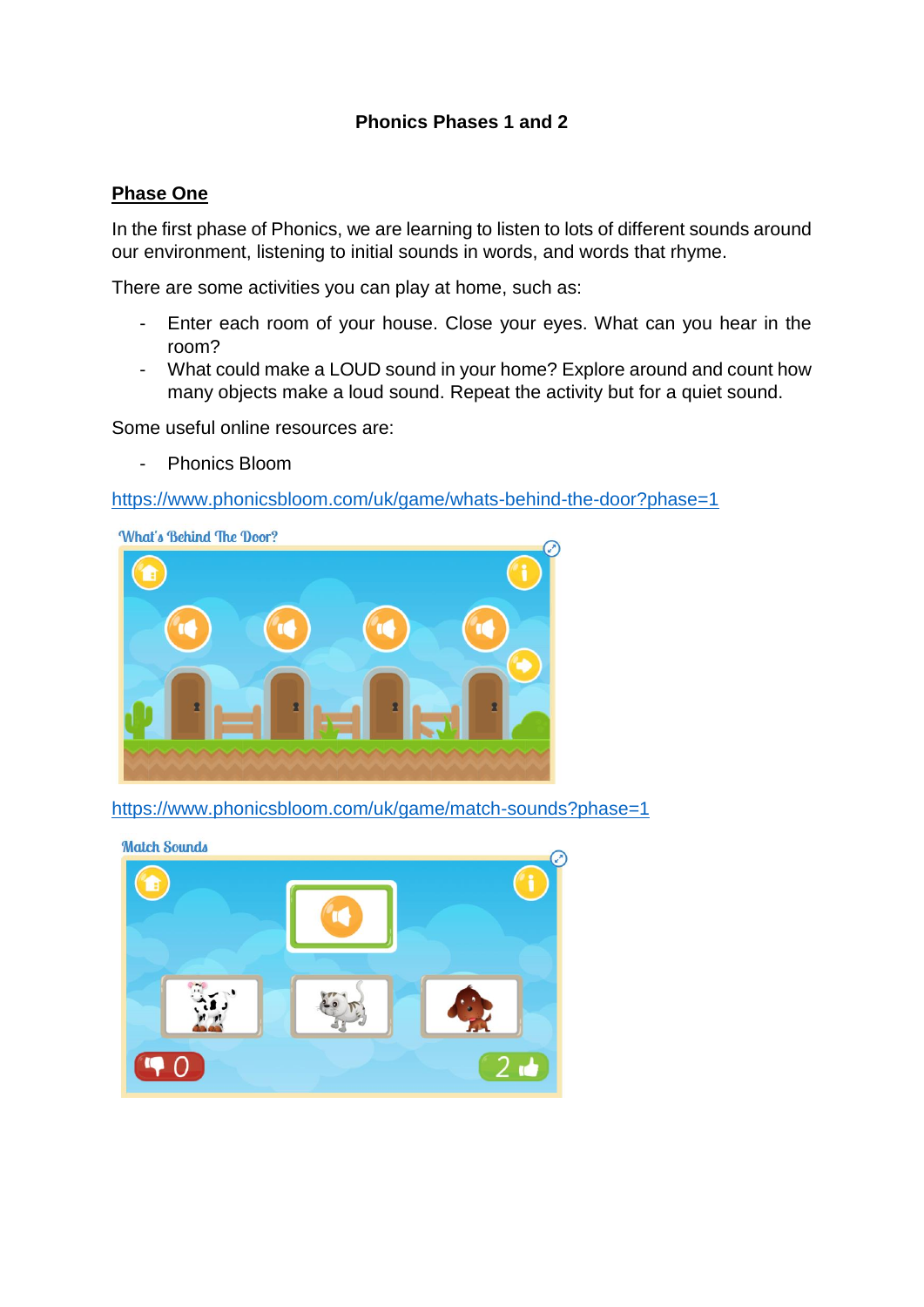## **Phonics Phases 1 and 2**

### **Phase One**

In the first phase of Phonics, we are learning to listen to lots of different sounds around our environment, listening to initial sounds in words, and words that rhyme.

There are some activities you can play at home, such as:

- Enter each room of your house. Close your eyes. What can you hear in the room?
- What could make a LOUD sound in your home? Explore around and count how many objects make a loud sound. Repeat the activity but for a quiet sound.

Some useful online resources are:

- Phonics Bloom

<https://www.phonicsbloom.com/uk/game/whats-behind-the-door?phase=1>



<https://www.phonicsbloom.com/uk/game/match-sounds?phase=1>

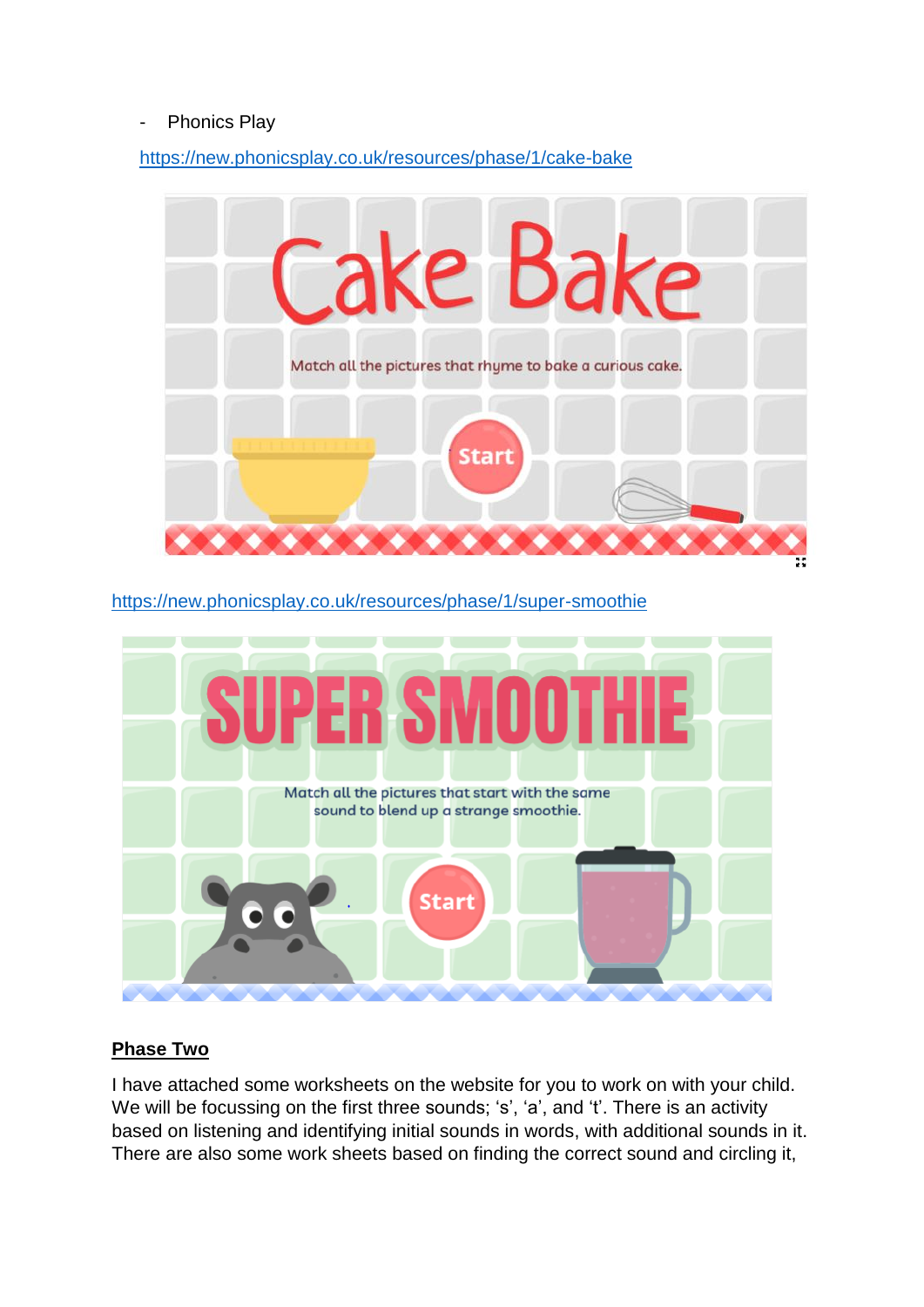#### - Phonics Play

<https://new.phonicsplay.co.uk/resources/phase/1/cake-bake>



<https://new.phonicsplay.co.uk/resources/phase/1/super-smoothie>



## **Phase Two**

I have attached some worksheets on the website for you to work on with your child. We will be focussing on the first three sounds; 's', 'a', and 't'. There is an activity based on listening and identifying initial sounds in words, with additional sounds in it. There are also some work sheets based on finding the correct sound and circling it,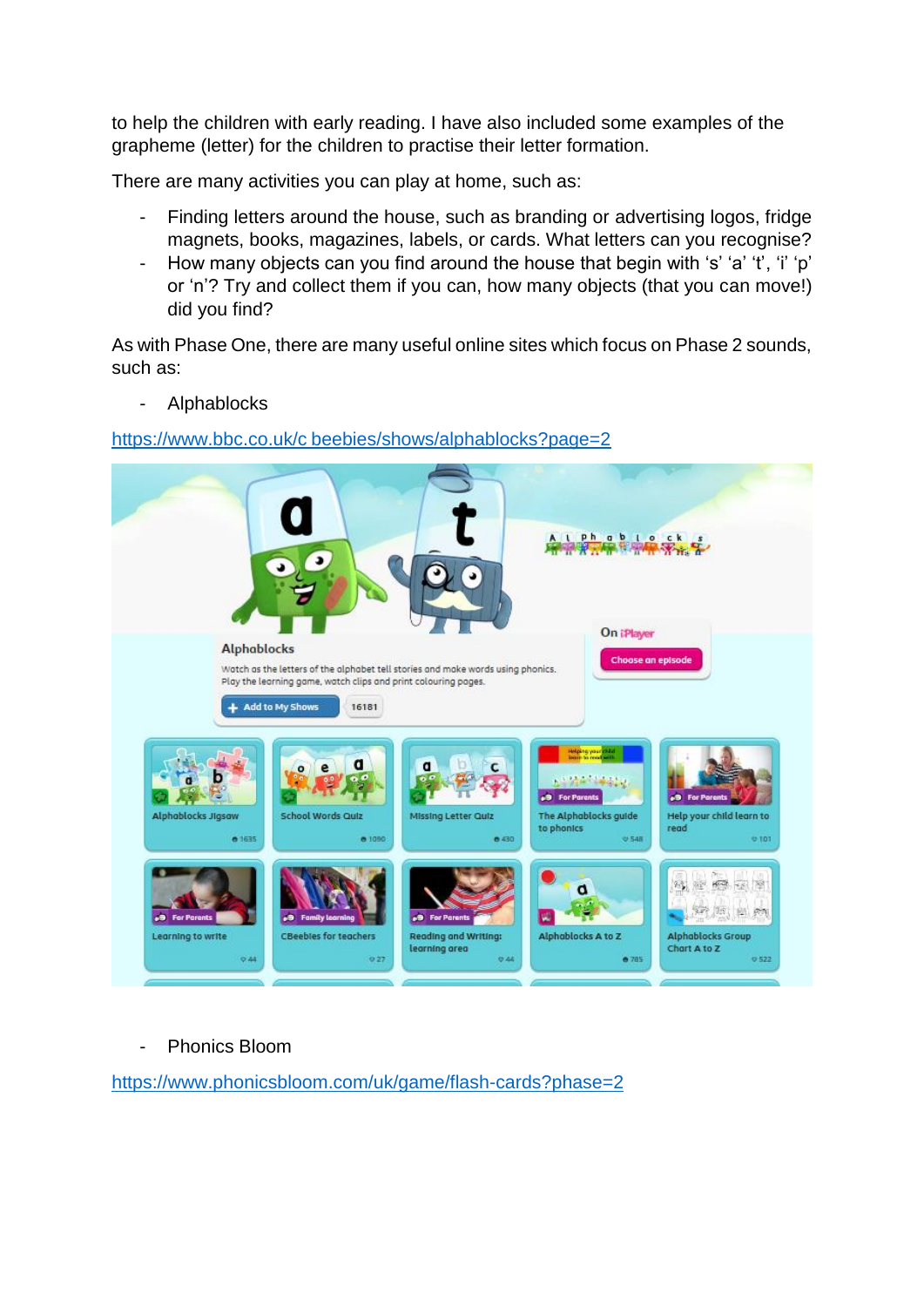to help the children with early reading. I have also included some examples of the grapheme (letter) for the children to practise their letter formation.

There are many activities you can play at home, such as:

- Finding letters around the house, such as branding or advertising logos, fridge magnets, books, magazines, labels, or cards. What letters can you recognise?
- How many objects can you find around the house that begin with 's' 'a' 't', 'i' 'p' or 'n'? Try and collect them if you can, how many objects (that you can move!) did you find?

As with Phase One, there are many useful online sites which focus on Phase 2 sounds, such as:

- Alphablocks

https://www.bbc.co.uk/c [beebies/shows/alphablocks?page=2](https://www.bbc.co.uk/c%20beebies/shows/alphablocks?page=2)



Phonics Bloom

<https://www.phonicsbloom.com/uk/game/flash-cards?phase=2>